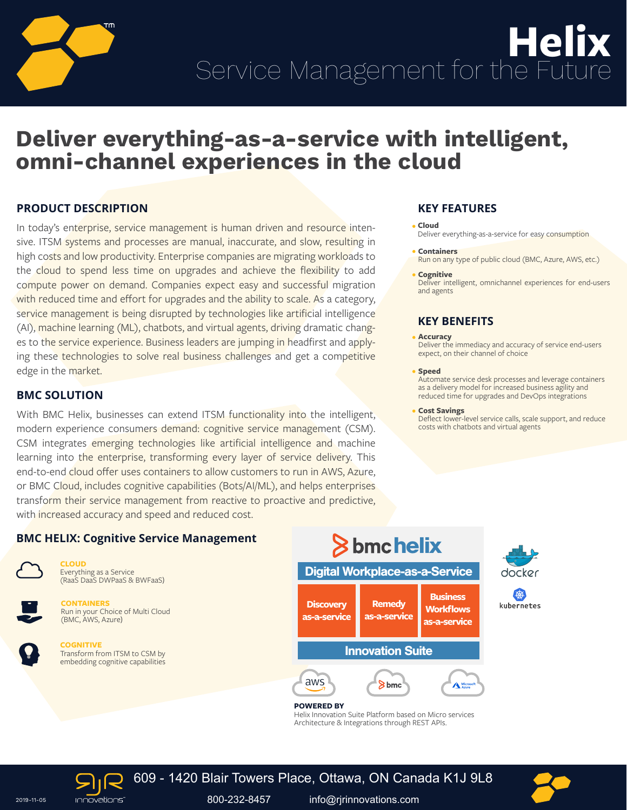

# **Deliver everything-as-a-service with intelligent, omni-channel experiences in the cloud**

# **PRODUCT DESCRIPTION**

In today's enterprise, service management is human driven and resource intensive. ITSM systems and processes are manual, inaccurate, and slow, resulting in high costs and low productivity. Enterprise companies are migrating workloads to the cloud to spend less time on upgrades and achieve the flexibility to add compute power on demand. Companies expect easy and successful migration with reduced time and effort for upgrades and the ability to scale. As a category, service management is being disrupted by technologies like artificial intelligence (AI), machine learning (ML), chatbots, and virtual agents, driving dramatic changes to the service experience. Business leaders are jumping in headfirst and applying these technologies to solve real business challenges and get a competitive edge in the market.

## **BMC SOLUTION**

With BMC Helix, businesses can extend ITSM functionality into the intelligent, modern experience consumers demand: cognitive service management (CSM). CSM integrates emerging technologies like artificial intelligence and machine learning into the enterprise, transforming every layer of service delivery. This end-to-end cloud offer uses containers to allow customers to run in AWS, Azure, or BMC Cloud, includes cognitive capabilities (Bots/AI/ML), and helps enterprises transform their service management from reactive to proactive and predictive, with increased accuracy and speed and reduced cost.

# **KEY FEATURES**

**Cloud** Deliver everything-as-a-service for easy consumption

#### **Containers**

Run on any type of public cloud (BMC, Azure, AWS, etc.)

#### **• Cognitive**

Deliver intelligent, omnichannel experiences for end-users and agents

## **KEY BENEFITS**

#### **Accuracy**

Deliver the immediacy and accuracy of service end-users expect, on their channel of choice

#### **Speed**

Automate service desk processes and leverage containers as a delivery model for increased business agility and reduced time for upgrades and DevOps integrations

#### **Cost Savings**

Deflect lower-level service calls, scale support, and reduce costs with chatbots and virtual agents

docker

俊 kubernetes

# **BMC HELIX: Cognitive Service Management**



**CLOUD** Everything as a Service (RaaS DaaS DWPaaS & BWFaaS)



**CONTAINERS** Run in your Choice of Multi Cloud (BMC, AWS, Azure)



**COGNITIVE** Transform from ITSM to CSM by embedding cognitive capabilities



Helix Innovation Suite Platform based on Micro services Architecture & Integrations through REST APIs.





2019-11-05 800-232-8457 info@rjrinnovations.com